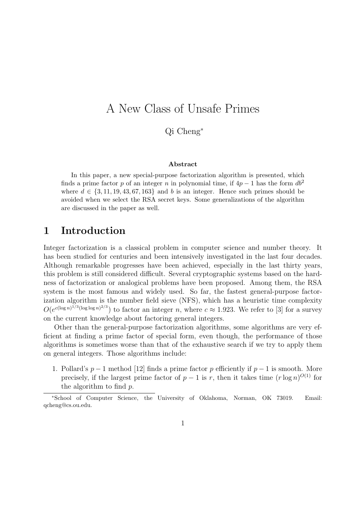# A New Class of Unsafe Primes

Qi Cheng<sup>∗</sup>

#### Abstract

In this paper, a new special-purpose factorization algorithm is presented, which finds a prime factor p of an integer n in polynomial time, if  $4p-1$  has the form  $db^2$ where  $d \in \{3, 11, 19, 43, 67, 163\}$  and b is an integer. Hence such primes should be avoided when we select the RSA secret keys. Some generalizations of the algorithm are discussed in the paper as well.

### 1 Introduction

Integer factorization is a classical problem in computer science and number theory. It has been studied for centuries and been intensively investigated in the last four decades. Although remarkable progresses have been achieved, especially in the last thirty years, this problem is still considered difficult. Several cryptographic systems based on the hardness of factorization or analogical problems have been proposed. Among them, the RSA system is the most famous and widely used. So far, the fastest general-purpose factorization algorithm is the number field sieve (NFS), which has a heuristic time complexity  $O(e^{c(\log n)^{1/3}(\log \log n)^{2/3}})$  to factor an integer n, where  $c \approx 1.923$ . We refer to [3] for a survey on the current knowledge about factoring general integers.

Other than the general-purpose factorization algorithms, some algorithms are very efficient at finding a prime factor of special form, even though, the performance of those algorithms is sometimes worse than that of the exhaustive search if we try to apply them on general integers. Those algorithms include:

1. Pollard's  $p-1$  method [12] finds a prime factor p efficiently if  $p-1$  is smooth. More precisely, if the largest prime factor of  $p-1$  is r, then it takes time  $(r \log n)^{O(1)}$  for the algorithm to find  $p$ .

<sup>∗</sup>School of Computer Science, the University of Oklahoma, Norman, OK 73019. Email: qcheng@cs.ou.edu.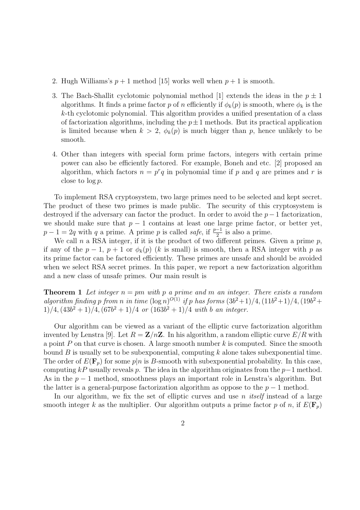- 2. Hugh Williams's  $p+1$  method [15] works well when  $p+1$  is smooth.
- 3. The Bach-Shallit cyclotomic polynomial method [1] extends the ideas in the  $p \pm 1$ algorithms. It finds a prime factor p of n efficiently if  $\phi_k(p)$  is smooth, where  $\phi_k$  is the k-th cyclotomic polynomial. This algorithm provides a unified presentation of a class of factorization algorithms, including the  $p\pm1$  methods. But its practical application is limited because when  $k > 2$ ,  $\phi_k(p)$  is much bigger than p, hence unlikely to be smooth.
- 4. Other than integers with special form prime factors, integers with certain prime power can also be efficiently factored. For example, Boneh and etc. [2] proposed an algorithm, which factors  $n = p^r q$  in polynomial time if p and q are primes and r is close to  $\log p$ .

To implement RSA cryptosystem, two large primes need to be selected and kept secret. The product of these two primes is made public. The security of this cryptosystem is destroyed if the adversary can factor the product. In order to avoid the  $p-1$  factorization. we should make sure that  $p-1$  contains at least one large prime factor, or better yet.  $p-1=2q$  with q a prime. A prime p is called safe, if  $\frac{p-1}{2}$  is also a prime.

We call n a RSA integer, if it is the product of two different primes. Given a prime  $p$ . if any of the  $p-1$ ,  $p+1$  or  $\phi_k(p)$  (k is small) is smooth, then a RSA integer with p as its prime factor can be factored efficiently. These primes are unsafe and should be avoided when we select RSA secret primes. In this paper, we report a new factorization algorithm and a new class of unsafe primes. Our main result is

**Theorem 1** Let integer  $n = pm$  with p a prime and m an integer. There exists a random algorithm finding p from n in time  $(\log n)^{O(1)}$  if p has forms  $(3b^2+1)/4$ ,  $(11b^2+1)/4$ ,  $(19b^2+$  $1)/4$ ,  $(43b^2 + 1)/4$ ,  $(67b^2 + 1)/4$  or  $(163b^2 + 1)/4$  with b an integer.

Our algorithm can be viewed as a variant of the elliptic curve factorization algorithm invented by Lenstra [9]. Let  $R = \mathbb{Z}/n\mathbb{Z}$ . In his algorithm, a random elliptic curve  $E/R$  with a point P on that curve is chosen. A large smooth number  $k$  is computed. Since the smooth bound B is usually set to be subexponential, computing  $k$  alone takes subexponential time. The order of  $E(\mathbf{F}_n)$  for some  $p|n$  is B-smooth with subexponential probability. In this case, computing  $kP$  usually reveals p. The idea in the algorithm originates from the p−1 method. As in the  $p-1$  method, smoothness plays an important role in Lenstra's algorithm. But the latter is a general-purpose factorization algorithm as oppose to the  $p-1$  method.

In our algorithm, we fix the set of elliptic curves and use  $n$  *itself* instead of a large smooth integer k as the multiplier. Our algorithm outputs a prime factor p of n, if  $E(\mathbf{F}_p)$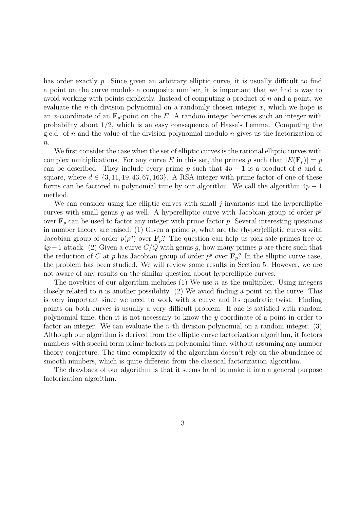has order exactly p. Since given an arbitrary elliptic curve, it is usually difficult to find a point on the curve modulo a composite number, it is important that we find a way to avoid working with points explicitly. Instead of computing a product of  $n$  and a point, we evaluate the *n*-th division polynomial on a randomly chosen integer  $x$ , which we hope is an x-coordinate of an  $\mathbf{F}_p$ -point on the E. A random integer becomes such an integer with probability about 1/2, which is an easy consequence of Hasse's Lemma. Computing the g.c.d. of n and the value of the division polynomial modulo n gives us the factorization of  $n$ .

We first consider the case when the set of elliptic curves is the rational elliptic curves with complex multiplications. For any curve E in this set, the primes p such that  $|E(\mathbf{F}_p)| = p$ can be described. They include every prime p such that  $4p - 1$  is a product of d and a square, where  $d \in \{3, 11, 19, 43, 67, 163\}$ . A RSA integer with prime factor of one of these forms can be factored in polynomial time by our algorithm. We call the algorithm  $4p-1$ method.

We can consider using the elliptic curves with small *j*-invariants and the hyperelliptic curves with small genus g as well. A hyperelliptic curve with Jacobian group of order  $p^g$ over  $\mathbf{F}_p$  can be used to factor any integer with prime factor p. Several interesting questions in number theory are raised: (1) Given a prime  $p$ , what are the (hyper)elliptic curves with Jacobian group of order  $p(p^g)$  over  $\mathbf{F}_p$ ? The question can help us pick safe primes free of  $4p-1$  attack. (2) Given a curve  $C/Q$  with genus g, how many primes p are there such that the reduction of C at p has Jacobian group of order  $p^g$  over  $\mathbf{F}_p$ ? In the elliptic curve case, the problem has been studied. We will review some results in Section 5. However, we are not aware of any results on the similar question about hyperelliptic curves.

The novelties of our algorithm includes (1) We use n as the multiplier. Using integers closely related to n is another possibility. (2) We avoid finding a point on the curve. This is very important since we need to work with a curve and its quadratic twist. Finding points on both curves is usually a very difficult problem. If one is satisfied with random polynomial time, then it is not necessary to know the y-coordinate of a point in order to factor an integer. We can evaluate the *n*-th division polynomial on a random integer.  $(3)$ Although our algorithm is derived from the elliptic curve factorization algorithm, it factors numbers with special form prime factors in polynomial time, without assuming any number theory conjecture. The time complexity of the algorithm doesn't rely on the abundance of smooth numbers, which is quite different from the classical factorization algorithm.

The drawback of our algorithm is that it seems hard to make it into a general purpose factorization algorithm.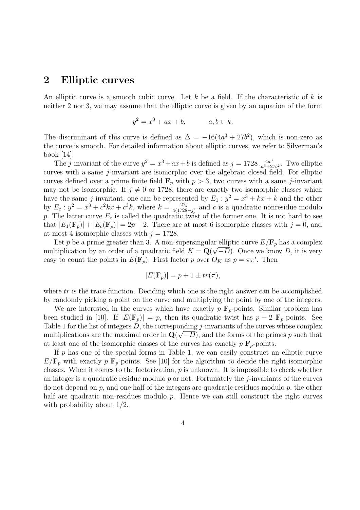### 2 Elliptic curves

An elliptic curve is a smooth cubic curve. Let k be a field. If the characteristic of k is neither 2 nor 3, we may assume that the elliptic curve is given by an equation of the form

$$
y^2 = x^3 + ax + b, \qquad a, b \in k.
$$

The discriminant of this curve is defined as  $\Delta = -16(4a^3 + 27b^2)$ , which is non-zero as the curve is smooth. For detailed information about elliptic curves, we refer to Silverman's book [14].

The j-invariant of the curve  $y^2 = x^3 + ax + b$  is defined as  $j = 1728 \frac{4a^3}{4a^3+2}$  $\frac{4a^3}{4a^3+27b^2}$ . Two elliptic curves with a same j-invariant are isomorphic over the algebraic closed field. For elliptic curves defined over a prime finite field  $\mathbf{F}_p$  with  $p > 3$ , two curves with a same j-invariant may not be isomorphic. If  $j \neq 0$  or 1728, there are exactly two isomorphic classes which have the same *j*-invariant, one can be represented by  $E_1 : y^2 = x^3 + kx + k$  and the other by  $E_c$ :  $y^2 = x^3 + c^2 kx + c^3 k$ , where  $k = \frac{27j}{4(1728-j)}$  and c is a quadratic nonresidue modulo p. The latter curve  $E_c$  is called the quadratic twist of the former one. It is not hard to see that  $|E_1(\mathbf{F}_p)| + |E_c(\mathbf{F}_p)| = 2p + 2$ . There are at most 6 isomorphic classes with  $j = 0$ , and at most 4 isomorphic classes with  $j = 1728$ .

Let p be a prime greater than 3. A non-supersingular elliptic curve  $E/\mathbf{F}_p$  has a complex multiplication by an order of a quadratic field  $K = \mathbf{Q}(\sqrt{-D})$ . Once we know D, it is very easy to count the points in  $E(\mathbf{F}_p)$ . First factor p over  $O_K$  as  $p = \pi \pi'$ . Then

$$
|E(\mathbf{F}_p)| = p + 1 \pm tr(\pi),
$$

where  $tr$  is the trace function. Deciding which one is the right answer can be accomplished by randomly picking a point on the curve and multiplying the point by one of the integers.

We are interested in the curves which have exactly  $p \mathbf{F}_p$ -points. Similar problem has been studied in [10]. If  $|E(\mathbf{F}_p)| = p$ , then its quadratic twist has  $p + 2 \mathbf{F}_p$ -points. See Table 1 for the list of integers  $D$ , the corresponding j-invariants of the curves whose complex multiplications are the maximal order in  $\mathbf{Q}(\sqrt{-D})$ , and the forms of the primes p such that at least one of the isomorphic classes of the curves has exactly  $p \mathbf{F}_p$ -points.

If  $p$  has one of the special forms in Table 1, we can easily construct an elliptic curve  $E/\mathbf{F}_p$  with exactly p  $\mathbf{F}_p$ -points. See [10] for the algorithm to decide the right isomorphic classes. When it comes to the factorization,  $p$  is unknown. It is impossible to check whether an integer is a quadratic residue modulo  $p$  or not. Fortunately the *j*-invariants of the curves do not depend on  $p$ , and one half of the integers are quadratic residues modulo  $p$ , the other half are quadratic non-residues modulo  $p$ . Hence we can still construct the right curves with probability about 1/2.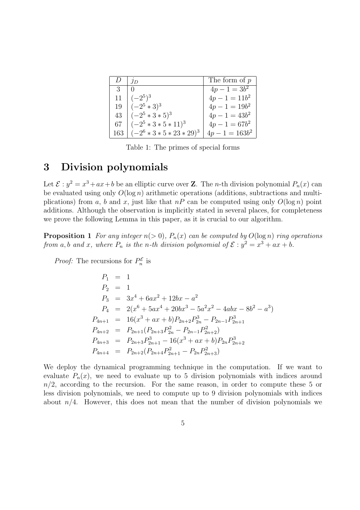|     | 1D                           | The form of $p$   |
|-----|------------------------------|-------------------|
| 3   |                              | $4p - 1 = 3b^2$   |
| 11  | $(-2^5)^3$                   | $4p - 1 = 11b^2$  |
| 19  | $(-2^5 * 3)^3$               | $4p - 1 = 19b^2$  |
| 43  | $(-2^5 * 3 * 5)^3$           | $4p - 1 = 43b^2$  |
| 67  | $(-2^5 * 3 * 5 * 11)^3$      | $4p - 1 = 67b^2$  |
| 163 | $(-2^6 * 3 * 5 * 23 * 29)^3$ | $4p - 1 = 163b^2$ |

Table 1: The primes of special forms

#### 3 Division polynomials

Let  $\mathcal{E}: y^2 = x^3 + ax + b$  be an elliptic curve over **Z**. The *n*-th division polynomial  $P_n(x)$  can be evaluated using only  $O(\log n)$  arithmetic operations (additions, subtractions and multiplications) from a, b and x, just like that  $nP$  can be computed using only  $O(\log n)$  point additions. Although the observation is implicitly stated in several places, for completeness we prove the following Lemma in this paper, as it is crucial to our algorithm.

**Proposition 1** For any integer  $n(> 0)$ ,  $P_n(x)$  can be computed by  $O(\log n)$  ring operations from a, b and x, where  $P_n$  is the n-th division polynomial of  $\mathcal{E}: y^2 = x^3 + ax + b$ .

*Proof:* The recursions for  $P_n^{\mathcal{E}}$  $_n^{\mathcal{E}}$  is

$$
P_1 = 1
$$
  
\n
$$
P_2 = 1
$$
  
\n
$$
P_3 = 3x^4 + 6ax^2 + 12bx - a^2
$$
  
\n
$$
P_4 = 2(x^6 + 5ax^4 + 20bx^3 - 5a^2x^2 - 4abx - 8b^2 - a^3)
$$
  
\n
$$
P_{4n+1} = 16(x^3 + ax + b)P_{2n+2}P_{2n}^3 - P_{2n-1}P_{2n+1}^3
$$
  
\n
$$
P_{4n+2} = P_{2n+1}(P_{2n+3}P_{2n}^2 - P_{2n-1}P_{2n+2}^2)
$$
  
\n
$$
P_{4n+3} = P_{2n+3}P_{2n+1}^3 - 16(x^3 + ax + b)P_{2n}P_{2n+2}^3
$$
  
\n
$$
P_{4n+4} = P_{2n+2}(P_{2n+4}P_{2n+1}^2 - P_{2n}P_{2n+3}^2)
$$

We deploy the dynamical programming technique in the computation. If we want to evaluate  $P_n(x)$ , we need to evaluate up to 5 division polynomials with indices around  $n/2$ , according to the recursion. For the same reason, in order to compute these 5 or less division polynomials, we need to compute up to 9 division polynomials with indices about  $n/4$ . However, this does not mean that the number of division polynomials we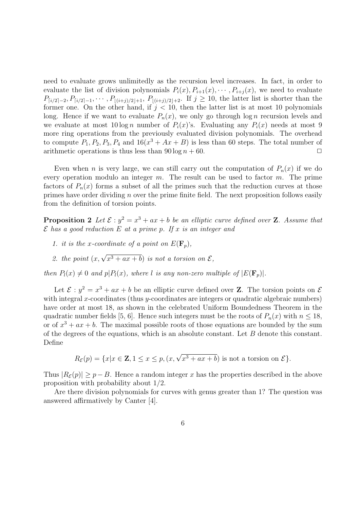need to evaluate grows unlimitedly as the recursion level increases. In fact, in order to evaluate the list of division polynomials  $P_i(x), P_{i+1}(x), \cdots, P_{i+j}(x)$ , we need to evaluate  $P_{[i/2]-2}, P_{[i/2]-1}, \cdots, P_{|(i+j)/2|+1}, P_{|(i+j)/2|+2}$ . If  $j \ge 10$ , the latter list is shorter than the former one. On the other hand, if  $j < 10$ , then the latter list is at most 10 polynomials long. Hence if we want to evaluate  $P_n(x)$ , we only go through log *n* recursion levels and we evaluate at most  $10 \log n$  number of  $P_i(x)$ 's. Evaluating any  $P_i(x)$  needs at most 9 more ring operations from the previously evaluated division polynomials. The overhead to compute  $P_1, P_2, P_3, P_4$  and  $16(x^3 + Ax + B)$  is less than 60 steps. The total number of arithmetic operations is thus less than  $90 \log n + 60$ .

Even when *n* is very large, we can still carry out the computation of  $P_n(x)$  if we do every operation modulo an integer  $m$ . The result can be used to factor  $m$ . The prime factors of  $P_n(x)$  forms a subset of all the primes such that the reduction curves at those primes have order dividing n over the prime finite field. The next proposition follows easily from the definition of torsion points.

**Proposition 2** Let  $\mathcal{E}: y^2 = x^3 + ax + b$  be an elliptic curve defined over **Z**. Assume that  $\mathcal E$  has a good reduction E at a prime p. If x is an integer and

- 1. it is the x-coordinate of a point on  $E(\mathbf{F}_p)$ ,
- 2. the point  $(x, \sqrt{x^3 + ax + b})$  is not a torsion on  $\mathcal{E},$

then  $P_l(x) \neq 0$  and  $p|P_l(x)$ , where l is any non-zero multiple of  $|E(\mathbf{F}_p)|$ .

Let  $\mathcal{E}: y^2 = x^3 + ax + b$  be an elliptic curve defined over **Z**. The torsion points on  $\mathcal{E}$ with integral x-coordinates (thus  $y$ -coordinates are integers or quadratic algebraic numbers) have order at most 18, as shown in the celebrated Uniform Boundedness Theorem in the quadratic number fields [5, 6]. Hence such integers must be the roots of  $P_n(x)$  with  $n \leq 18$ , or of  $x^3 + ax + b$ . The maximal possible roots of those equations are bounded by the sum of the degrees of the equations, which is an absolute constant. Let B denote this constant. Define

$$
R_{\mathcal{E}}(p) = \{x | x \in \mathbf{Z}, 1 \le x \le p, (x, \sqrt{x^3 + ax + b}) \text{ is not a torsion on } \mathcal{E}\}.
$$

Thus  $|R_{\mathcal{E}}(p)| \geq p-B$ . Hence a random integer x has the properties described in the above proposition with probability about 1/2.

Are there division polynomials for curves with genus greater than 1? The question was answered affirmatively by Canter [4].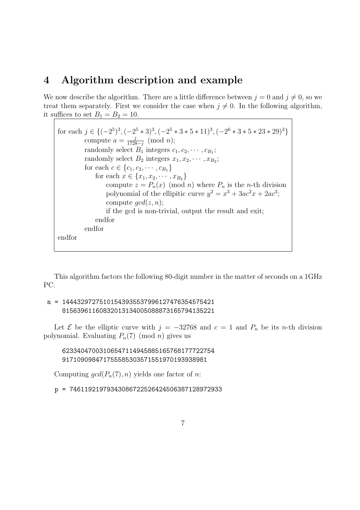#### 4 Algorithm description and example

We now describe the algorithm. There are a little difference between  $j = 0$  and  $j \neq 0$ , so we treat them separately. First we consider the case when  $j \neq 0$ . In the following algorithm, it suffices to set  $B_1 = B_2 = 10$ .

for each  $j \in \{(-2^5)^3, (-2^5 * 3)^3, (-2^5 * 3 * 5 * 11)^3, (-2^6 * 3 * 5 * 23 * 29)^3\}$ compute  $a = \frac{j}{1728 - j} \pmod{n};$ randomly select  $B_1$  integers  $c_1, c_2, \cdots, c_{B_1}$ ; randomly select  $B_2$  integers  $x_1, x_2, \cdots, x_{B_2}$ ; for each  $c \in \{c_1, c_2, \cdots, c_{B_1}\}\$ for each  $x \in \{x_1, x_2, \cdots, x_{B_2}\}\$ compute  $z = P_n(x) \pmod{n}$  where  $P_n$  is the *n*-th division polynomial of the ellipitic curve  $y^2 = x^3 + 3ac^2x + 2ac^3$ ; compute  $qcd(z, n);$ if the gcd is non-trivial, output the result and exit; endfor endfor endfor

This algorithm factors the following 80-digit number in the matter of seconds on a 1GHz PC.

#### n = 14443297275101543935537996127476354575421 81563961160832013134005088873165794135221

Let  $\mathcal E$  be the elliptic curve with  $j = -32768$  and  $c = 1$  and  $P_n$  be its n-th division polynomial. Evaluating  $P_n(7)$  (mod *n*) gives us

62334047003106547114945885165768177722754 917109098471755585303571551970193938981

Computing  $gcd(P_n(7), n)$  yields one factor of n:

p = 74611921979343086722526424506387128972933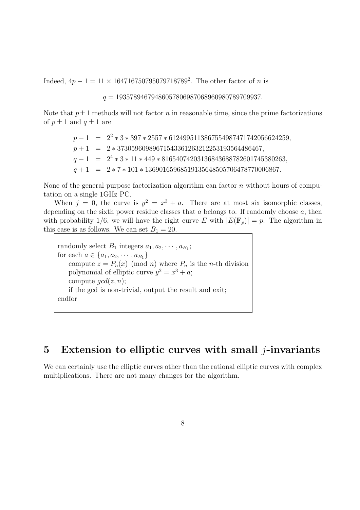Indeed,  $4p - 1 = 11 \times 164716750795079718789^2$ . The other factor of *n* is

 $q = 19357894679486057806987068960980789709937.$ 

Note that  $p\pm 1$  methods will not factor n in reasonable time, since the prime factorizations of  $p \pm 1$  and  $q \pm 1$  are

> $p-1 = 2^2 * 3 * 397 * 2557 * 6124995113867554987471742056624259,$  $p+1 = 2 * 37305960989671543361263212253193564486467,$  $q - 1 = 2^4 * 3 * 11 * 449 * 81654074203136843688782601745380263,$  $q + 1 = 2 * 7 * 101 * 13690165968519135648505706478770006867.$

None of the general-purpose factorization algorithm can factor  $n$  without hours of computation on a single 1GHz PC.

When  $j = 0$ , the curve is  $y^2 = x^3 + a$ . There are at most six isomorphic classes, depending on the sixth power residue classes that  $a$  belongs to. If randomly choose  $a$ , then with probability 1/6, we will have the right curve E with  $|E(\mathbf{F}_p)| = p$ . The algorithm in this case is as follows. We can set  $B_1 = 20$ .

randomly select  $B_1$  integers  $a_1, a_2, \cdots, a_{B_1}$ ; for each  $a \in \{a_1, a_2, \cdots, a_{B_1}\}\$ compute  $z = P_n(x) \pmod{n}$  where  $P_n$  is the *n*-th division polynomial of elliptic curve  $y^2 = x^3 + a$ ; compute  $gcd(z, n);$ if the gcd is non-trivial, output the result and exit; endfor

## 5 Extension to elliptic curves with small  $j$ -invariants

We can certainly use the elliptic curves other than the rational elliptic curves with complex multiplications. There are not many changes for the algorithm.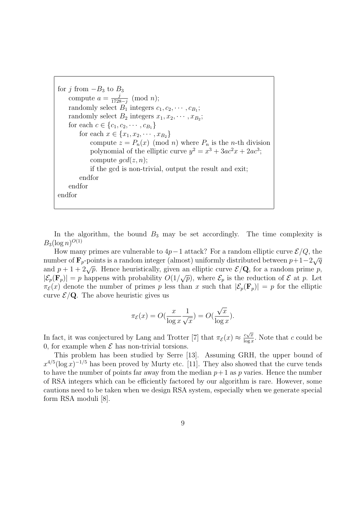for j from  $-B_3$  to  $B_3$ compute  $a = \frac{j}{1728-j} \pmod{n};$ randomly select  $B_1$  integers  $c_1, c_2, \cdots, c_{B_1}$ ; randomly select  $B_2$  integers  $x_1, x_2, \cdots, x_{B_2}$ ; for each  $c \in \{c_1, c_2, \cdots, c_{B_1}\}\$ for each  $x \in \{x_1, x_2, \cdots, x_{B_2}\}\$ compute  $z = P_n(x) \pmod{n}$  where  $P_n$  is the *n*-th division polynomial of the elliptic curve  $y^2 = x^3 + 3ac^2x + 2ac^3$ ; compute  $gcd(z, n);$ if the gcd is non-trivial, output the result and exit; endfor endfor endfor

In the algorithm, the bound  $B_3$  may be set accordingly. The time complexity is  $B_3(\log n)^{O(1)}$ 

How many primes are vulnerable to  $4p-1$  attack? For a random elliptic curve  $\mathcal{E}/Q$ , the now many primes are vulnerable to  $4p-1$  attack? For a random emptic curve  $\mathcal{E}/Q$ , the number of  $\mathbf{F}_p$ -points is a random integer (almost) uniformly distributed between  $p+1-2\sqrt{q}$ and  $p + 1 + 2\sqrt{p}$ . Hence heuristically, given an elliptic curve  $\mathcal{E}/\mathbf{Q}$ , for a random prime p, and  $p+1+2\sqrt{p}$ . Hence neuristically, given an emptic curve  $\mathcal{E}/\mathbf{Q}$ , for a random prime p,<br> $|\mathcal{E}_p(\mathbf{F}_p)|=p$  happens with probability  $O(1/\sqrt{p})$ , where  $\mathcal{E}_p$  is the reduction of  $\mathcal E$  at p. Let  $\pi_{\mathcal{E}}(x)$  denote the number of primes p less than x such that  $|\mathcal{E}_p(\mathbf{F}_p)| = p$  for the elliptic curve  $\mathcal{E}/Q$ . The above heuristic gives us

$$
\pi_{\mathcal{E}}(x) = O(\frac{x}{\log x} \frac{1}{\sqrt{x}}) = O(\frac{\sqrt{x}}{\log x}).
$$

In fact, it was conjectured by Lang and Trotter [7] that  $\pi_{\mathcal{E}}(x) \approx \frac{c\sqrt{x}}{\log x}$  $\frac{c\sqrt{x}}{\log x}$ . Note that c could be 0, for example when  $\mathcal E$  has non-trivial torsions.

This problem has been studied by Serre [13]. Assuming GRH, the upper bound of  $x^{4/5}(\log x)^{-1/5}$  has been proved by Murty etc. [11]. They also showed that the curve tends to have the number of points far away from the median  $p+1$  as p varies. Hence the number of RSA integers which can be efficiently factored by our algorithm is rare. However, some cautions need to be taken when we design RSA system, especially when we generate special form RSA moduli [8].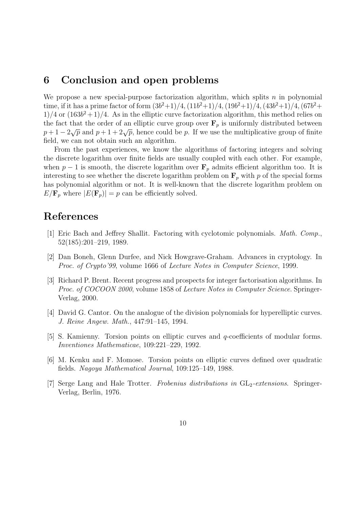#### 6 Conclusion and open problems

We propose a new special-purpose factorization algorithm, which splits  $n$  in polynomial time, if it has a prime factor of form  $(3b^2+1)/4$ ,  $(11b^2+1)/4$ ,  $(19b^2+1)/4$ ,  $(43b^2+1)/4$ ,  $(67b^2+$  $1/4$  or  $(163b^2+1)/4$ . As in the elliptic curve factorization algorithm, this method relies on the fact that the order of an elliptic curve group over  $\mathbf{F}_p$  is uniformly distributed between the fact that the order of an emptic curve group over  $\mathbf{r}_p$  is unformly distributed between  $p+1-2\sqrt{p}$  and  $p+1+2\sqrt{p}$ , hence could be p. If we use the multiplicative group of finite field, we can not obtain such an algorithm.

From the past experiences, we know the algorithms of factoring integers and solving the discrete logarithm over finite fields are usually coupled with each other. For example, when  $p-1$  is smooth, the discrete logarithm over  $\mathbf{F}_p$  admits efficient algorithm too. It is interesting to see whether the discrete logarithm problem on  $\mathbf{F}_p$  with p of the special forms has polynomial algorithm or not. It is well-known that the discrete logarithm problem on  $E/\mathbf{F}_p$  where  $|E(\mathbf{F}_p)| = p$  can be efficiently solved.

### References

- [1] Eric Bach and Jeffrey Shallit. Factoring with cyclotomic polynomials. Math. Comp., 52(185):201–219, 1989.
- [2] Dan Boneh, Glenn Durfee, and Nick Howgrave-Graham. Advances in cryptology. In Proc. of Crypto'99, volume 1666 of Lecture Notes in Computer Science, 1999.
- [3] Richard P. Brent. Recent progress and prospects for integer factorisation algorithms. In Proc. of COCOON 2000, volume 1858 of Lecture Notes in Computer Science. Springer-Verlag, 2000.
- [4] David G. Cantor. On the analogue of the division polynomials for hyperelliptic curves. J. Reine Angew. Math., 447:91–145, 1994.
- [5] S. Kamienny. Torsion points on elliptic curves and q-coefficients of modular forms. Inventiones Mathematicae, 109:221–229, 1992.
- [6] M. Kenku and F. Momose. Torsion points on elliptic curves defined over quadratic fields. Nagoya Mathematical Journal, 109:125–149, 1988.
- [7] Serge Lang and Hale Trotter. Frobenius distributions in  $GL_2$ -extensions. Springer-Verlag, Berlin, 1976.